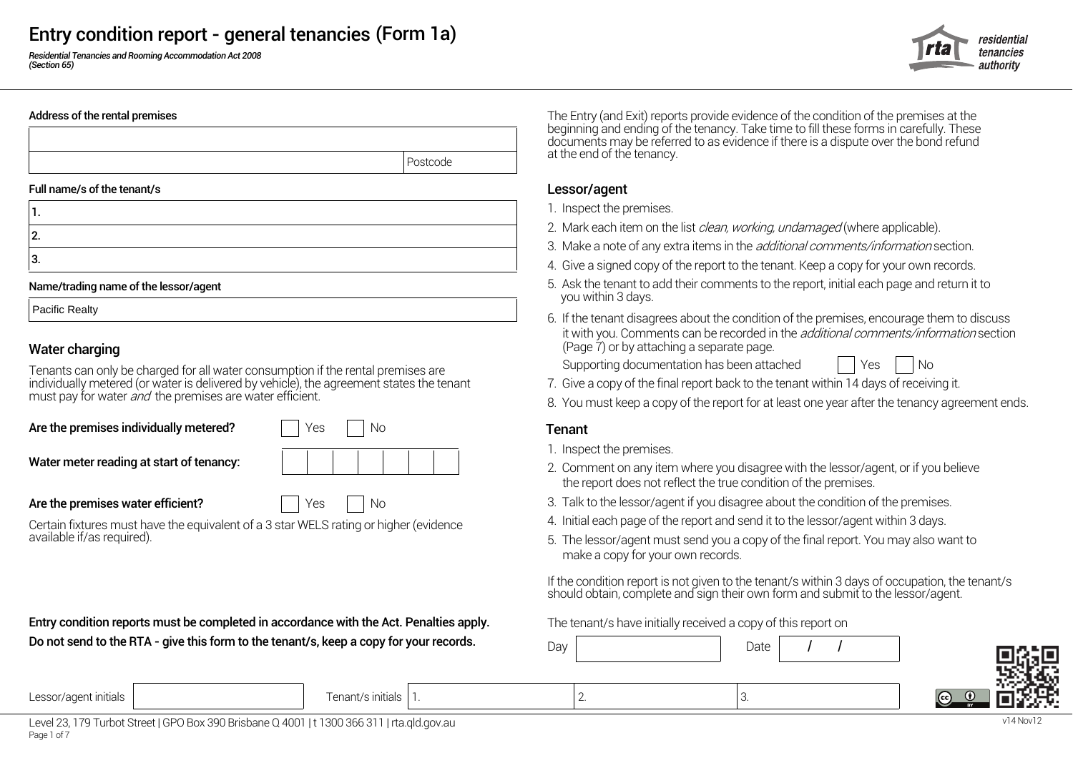*Residential Tenancies and Rooming Accommodation Act 2008 (Section 65)*

### residentia tenancies authoritv



| . .     |  |
|---------|--|
| c       |  |
| o<br>v. |  |

### Name/trading name of the lessor/agent

Pacific Realty

### Water charging

Tenants can only be charged for all water consumption if the rental premises are Supporting documentation has been attached Supporting the rental premises are individually metered (or water is delivered by vehicle), the agreement states the tenant must pay for water *and* the premises are water efficient.

Are the premises individually metered?  $\vert \vert$  Yes  $\vert \vert$  No  $\vert$  Tenant

| Yes |  | <b>No</b> |  |
|-----|--|-----------|--|
|     |  |           |  |

1.

Certain fixtures must have the equivalent of a 3 star WELS rating or higher (evidence 4. Initial each page of the report and send it to the lessor/agent within 3 days.<br>5. The lessor/agent must send you a copy of the final

**Entry condition reports must be completed in accordance with the Act. Penalties apply.** The tenant/s have initially received a copy of this report on Do not send to the RTA - give this form to the tenant/s, keep a copy for your records.

Address of the rental premises The Entry (and Exit) reports provide evidence of the condition of the premises at the beginning and ending of the tenancy. Take time to fill these forms in carefully. These documents may be referred to as evidence if there is a dispute over the bond refund end of the tenancy.

- 1. Inspect the premises.
- 2. Mark each item on the list *clean, working, undamaged* (where applicable).<br>3. Make a note of any extra items in the *additional comments/information* section.
- 
- 4. Give a signed copy of the report to the tenant. Keep a copy for your own records.
- 5. Ask the tenant to add their comments to the report, initial each page and return it to
- 6. If the tenant disagrees about the condition of the premises, encourage them to discuss it with you. Comments can be recorded in the *additional comments/information* section (Page 7) or by attaching a separate page.

- 7. Give a copy of the final report back to the tenant within 14 days of receiving it.
- 8. You must keep a copy of the report for at least one year after the tenancy agreement ends.

- 1. Inspect the premises.
- Water meter reading at start of tenancy:<br>2. Comment on any item where you disagree with the lessor/agent, or if you believe the report does not reflect the true condition of the premises.
- Are the premises water efficient? The Mo 3. Talk to the lessor/agent if you disagree about the condition of the premises.
	-
	- 5. The lessor/agent must send you a copy of the final report. You may also want to make a copy for your own records.

If the condition report is not given to the tenant/s within 3 days of occupation, the tenant/s should obtain, complete and sign their own form and submit to the lessor/agent.

| Day |          | Date |  |                           |
|-----|----------|------|--|---------------------------|
|     | <u>.</u> | 3.   |  | I<br>  (c c)<br><b>BY</b> |

Lessor/agent initials Tenant/s initials 2. 3.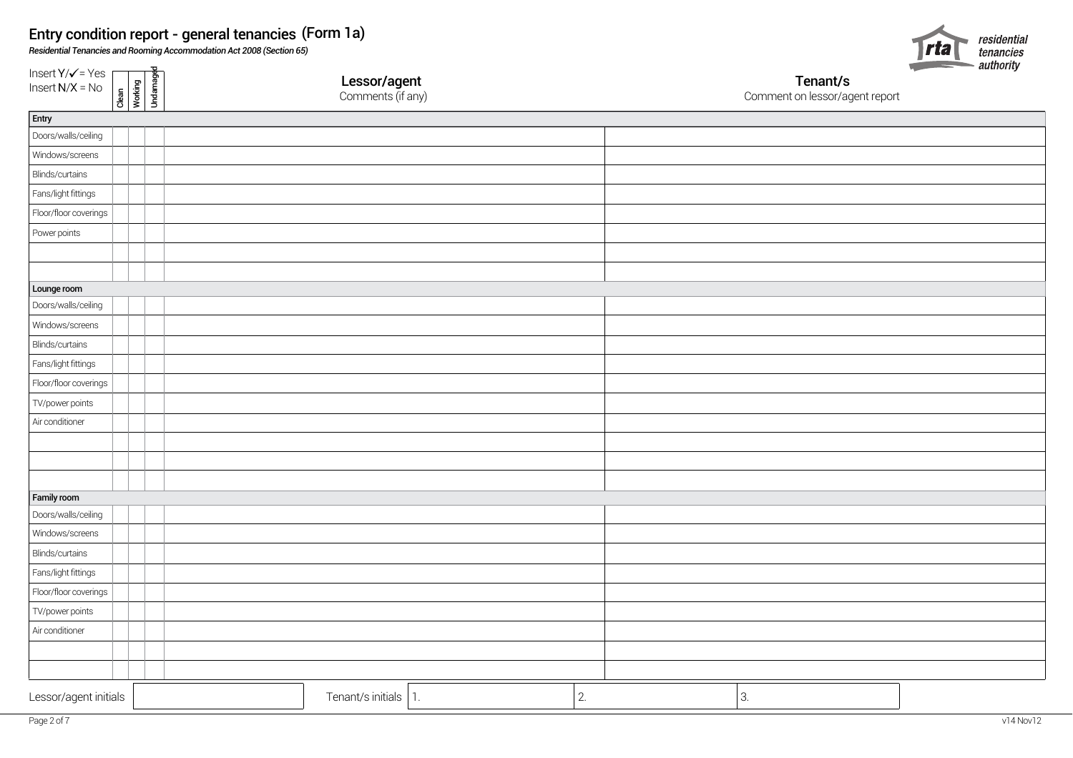*Residential Tenancies and Rooming Accommodation Act 2008 (Section 65)*

Insert  $Y/\sqrt{ }$  = Yes  $\int$  Insert N/X = No



| Insert $Y/\sqrt{ }$ = Yes<br>Insert N/X = No | Clean<br>Working<br>Undamaged | <b>Lessor/agent</b><br>Comments (if any) |    | Tenant/s<br>Comment on lessor/agent report | <b>Property and the property of the contract of the contract of the contract of the contract of the contract of the contract of the contract of the contract of the contract of the contract of the contract of the contract of </b><br>auurong |
|----------------------------------------------|-------------------------------|------------------------------------------|----|--------------------------------------------|-------------------------------------------------------------------------------------------------------------------------------------------------------------------------------------------------------------------------------------------------|
| Entry                                        |                               |                                          |    |                                            |                                                                                                                                                                                                                                                 |
| Doors/walls/ceiling                          |                               |                                          |    |                                            |                                                                                                                                                                                                                                                 |
| Windows/screens                              |                               |                                          |    |                                            |                                                                                                                                                                                                                                                 |
| Blinds/curtains                              |                               |                                          |    |                                            |                                                                                                                                                                                                                                                 |
| Fans/light fittings                          |                               |                                          |    |                                            |                                                                                                                                                                                                                                                 |
| Floor/floor coverings                        |                               |                                          |    |                                            |                                                                                                                                                                                                                                                 |
| Power points                                 |                               |                                          |    |                                            |                                                                                                                                                                                                                                                 |
|                                              |                               |                                          |    |                                            |                                                                                                                                                                                                                                                 |
|                                              |                               |                                          |    |                                            |                                                                                                                                                                                                                                                 |
| Lounge room                                  |                               |                                          |    |                                            |                                                                                                                                                                                                                                                 |
| Doors/walls/ceiling                          |                               |                                          |    |                                            |                                                                                                                                                                                                                                                 |
| Windows/screens                              |                               |                                          |    |                                            |                                                                                                                                                                                                                                                 |
| Blinds/curtains                              |                               |                                          |    |                                            |                                                                                                                                                                                                                                                 |
| Fans/light fittings                          |                               |                                          |    |                                            |                                                                                                                                                                                                                                                 |
| Floor/floor coverings                        |                               |                                          |    |                                            |                                                                                                                                                                                                                                                 |
| TV/power points                              |                               |                                          |    |                                            |                                                                                                                                                                                                                                                 |
| Air conditioner                              |                               |                                          |    |                                            |                                                                                                                                                                                                                                                 |
|                                              |                               |                                          |    |                                            |                                                                                                                                                                                                                                                 |
|                                              |                               |                                          |    |                                            |                                                                                                                                                                                                                                                 |
|                                              |                               |                                          |    |                                            |                                                                                                                                                                                                                                                 |
| Family room                                  |                               |                                          |    |                                            |                                                                                                                                                                                                                                                 |
| Doors/walls/ceiling                          |                               |                                          |    |                                            |                                                                                                                                                                                                                                                 |
| Windows/screens                              |                               |                                          |    |                                            |                                                                                                                                                                                                                                                 |
| Blinds/curtains                              |                               |                                          |    |                                            |                                                                                                                                                                                                                                                 |
| Fans/light fittings                          |                               |                                          |    |                                            |                                                                                                                                                                                                                                                 |
| Floor/floor coverings                        |                               |                                          |    |                                            |                                                                                                                                                                                                                                                 |
| TV/power points                              |                               |                                          |    |                                            |                                                                                                                                                                                                                                                 |
| Air conditioner                              |                               |                                          |    |                                            |                                                                                                                                                                                                                                                 |
|                                              |                               |                                          |    |                                            |                                                                                                                                                                                                                                                 |
|                                              |                               |                                          |    |                                            |                                                                                                                                                                                                                                                 |
| Lessor/agent initials                        |                               | Tenant/s initials $ 1.$                  | 2. | 3.                                         |                                                                                                                                                                                                                                                 |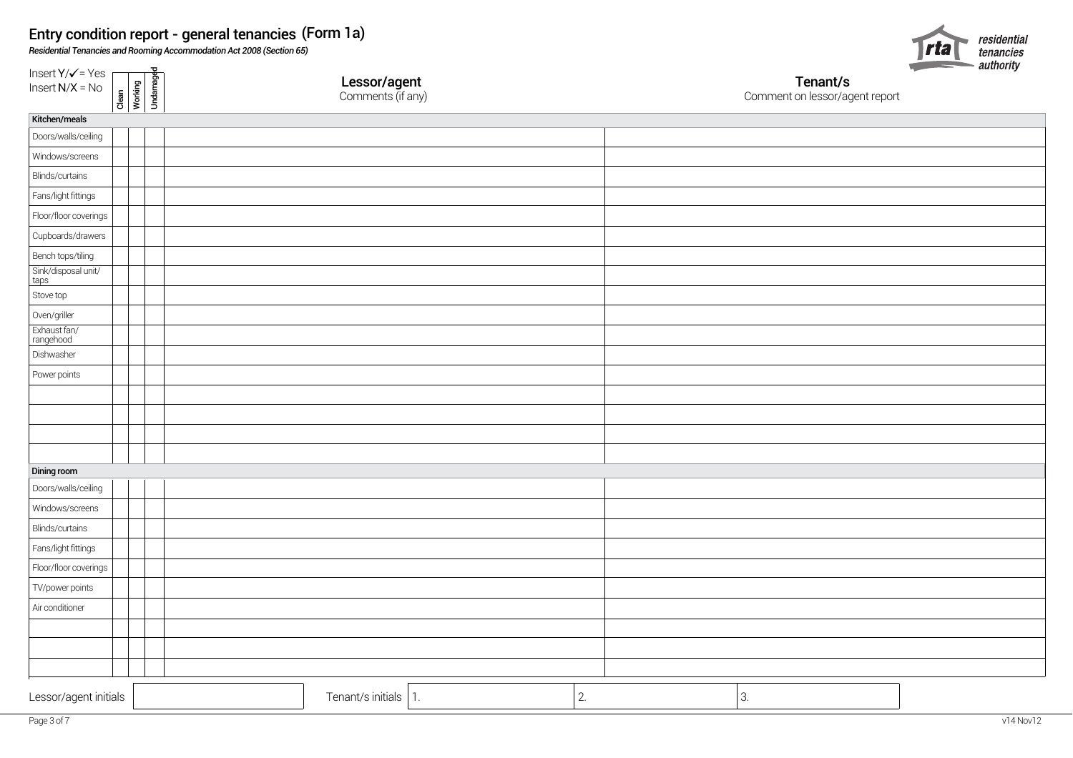*Residential Tenancies and Rooming Accommodation Act 2008 (Section 65)*

Clean<br>Working<br>Undamaged

 $Insert Y/\checkmark$  = Yes  $\Gamma$  $Insert N/X = No$ 



Lessor/agent Tenant/s

Comment on lessor/agent report

| __<br>Kitchen/meals         |                          |    |    |  |
|-----------------------------|--------------------------|----|----|--|
| Doors/walls/ceiling         |                          |    |    |  |
| Windows/screens             |                          |    |    |  |
| Blinds/curtains             |                          |    |    |  |
| Fans/light fittings         |                          |    |    |  |
| Floor/floor coverings       |                          |    |    |  |
| Cupboards/drawers           |                          |    |    |  |
| Bench tops/tiling           |                          |    |    |  |
| Sink/disposal unit/<br>taps |                          |    |    |  |
| Stove top                   |                          |    |    |  |
| Oven/griller                |                          |    |    |  |
| Exhaust fan/<br>rangehood   |                          |    |    |  |
| Dishwasher                  |                          |    |    |  |
| Power points                |                          |    |    |  |
|                             |                          |    |    |  |
|                             |                          |    |    |  |
|                             |                          |    |    |  |
|                             |                          |    |    |  |
| Dining room                 |                          |    |    |  |
| Doors/walls/ceiling         |                          |    |    |  |
| Windows/screens             |                          |    |    |  |
| Blinds/curtains             |                          |    |    |  |
| Fans/light fittings         |                          |    |    |  |
| Floor/floor coverings       |                          |    |    |  |
| TV/power points             |                          |    |    |  |
| Air conditioner             |                          |    |    |  |
|                             |                          |    |    |  |
|                             |                          |    |    |  |
|                             |                          |    |    |  |
| Lessor/agent initials       | Tenant/s initials $ 1$ . | 2. | 3. |  |
|                             |                          |    |    |  |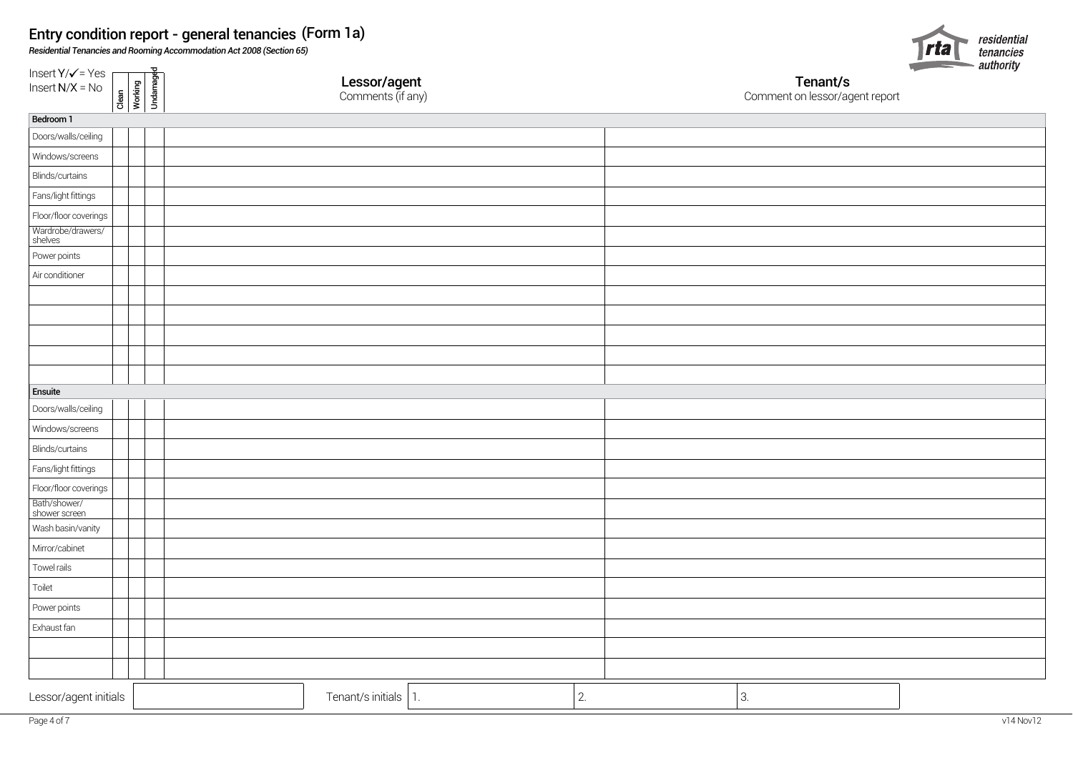*Residential Tenancies and Rooming Accommodation Act 2008 (Section 65)*



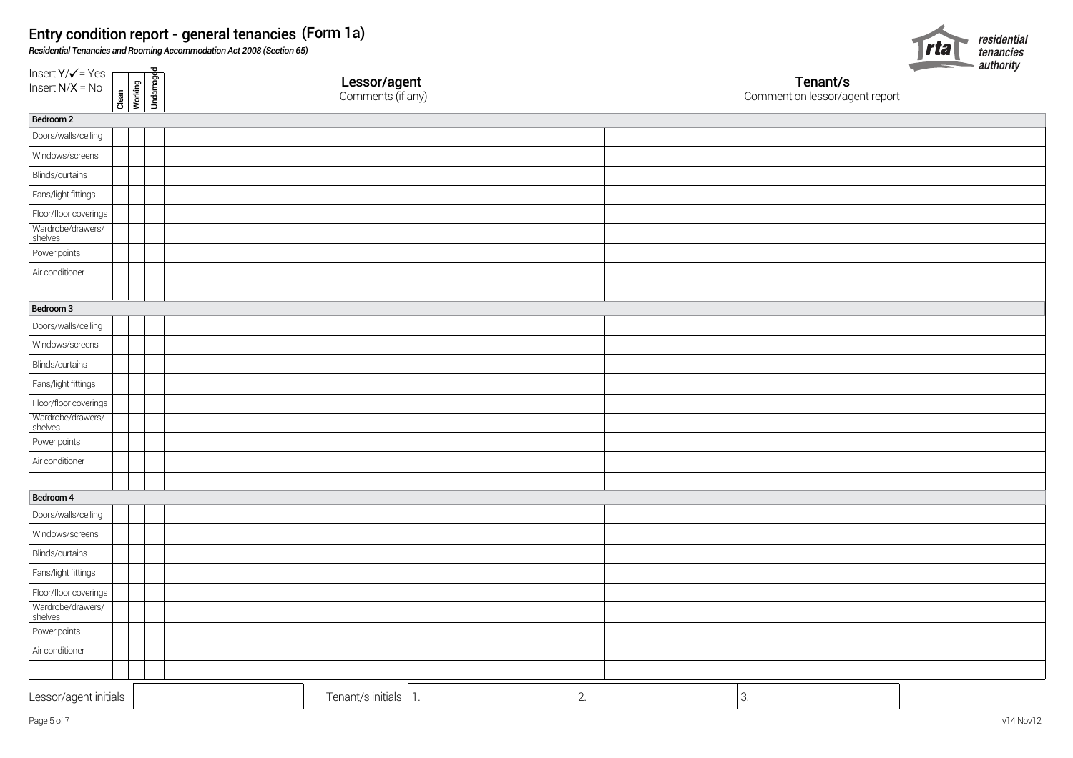*Residential Tenancies and Rooming Accommodation Act 2008 (Section 65)*



| Insert $Y/\sqrt{ }$ = Yes<br>Clean<br>Working<br>Undamaged<br>Insert $N/X = No$ | <b>Lessor/agent</b><br>Comments (if any) |    | <b>Contract Contract Contract Contract</b><br>__<br>Tenant/s<br>Comment on lessor/agent report | auunniy |
|---------------------------------------------------------------------------------|------------------------------------------|----|------------------------------------------------------------------------------------------------|---------|
| Bedroom 2                                                                       |                                          |    |                                                                                                |         |
| Doors/walls/ceiling                                                             |                                          |    |                                                                                                |         |
| Windows/screens                                                                 |                                          |    |                                                                                                |         |
| Blinds/curtains                                                                 |                                          |    |                                                                                                |         |
| Fans/light fittings                                                             |                                          |    |                                                                                                |         |
| Floor/floor coverings                                                           |                                          |    |                                                                                                |         |
| Wardrobe/drawers/<br>shelves                                                    |                                          |    |                                                                                                |         |
| Power points                                                                    |                                          |    |                                                                                                |         |
| Air conditioner                                                                 |                                          |    |                                                                                                |         |
|                                                                                 |                                          |    |                                                                                                |         |
| Bedroom 3                                                                       |                                          |    |                                                                                                |         |
| Doors/walls/ceiling                                                             |                                          |    |                                                                                                |         |
| Windows/screens                                                                 |                                          |    |                                                                                                |         |
| Blinds/curtains                                                                 |                                          |    |                                                                                                |         |
| Fans/light fittings                                                             |                                          |    |                                                                                                |         |
| Floor/floor coverings                                                           |                                          |    |                                                                                                |         |
| Wardrobe/drawers/<br>shelves                                                    |                                          |    |                                                                                                |         |
| Power points                                                                    |                                          |    |                                                                                                |         |
| Air conditioner                                                                 |                                          |    |                                                                                                |         |
|                                                                                 |                                          |    |                                                                                                |         |
| Bedroom 4                                                                       |                                          |    |                                                                                                |         |
| Doors/walls/ceiling                                                             |                                          |    |                                                                                                |         |
| Windows/screens                                                                 |                                          |    |                                                                                                |         |
| Blinds/curtains                                                                 |                                          |    |                                                                                                |         |
| Fans/light fittings                                                             |                                          |    |                                                                                                |         |
| Floor/floor coverings                                                           |                                          |    |                                                                                                |         |
| Wardrobe/drawers/<br>shelves                                                    |                                          |    |                                                                                                |         |
| Power points                                                                    |                                          |    |                                                                                                |         |
| Air conditioner                                                                 |                                          |    |                                                                                                |         |
|                                                                                 |                                          |    |                                                                                                |         |
| Lessor/agent initials                                                           | Tenant/s initials<br>1.                  | 2. | 3.                                                                                             |         |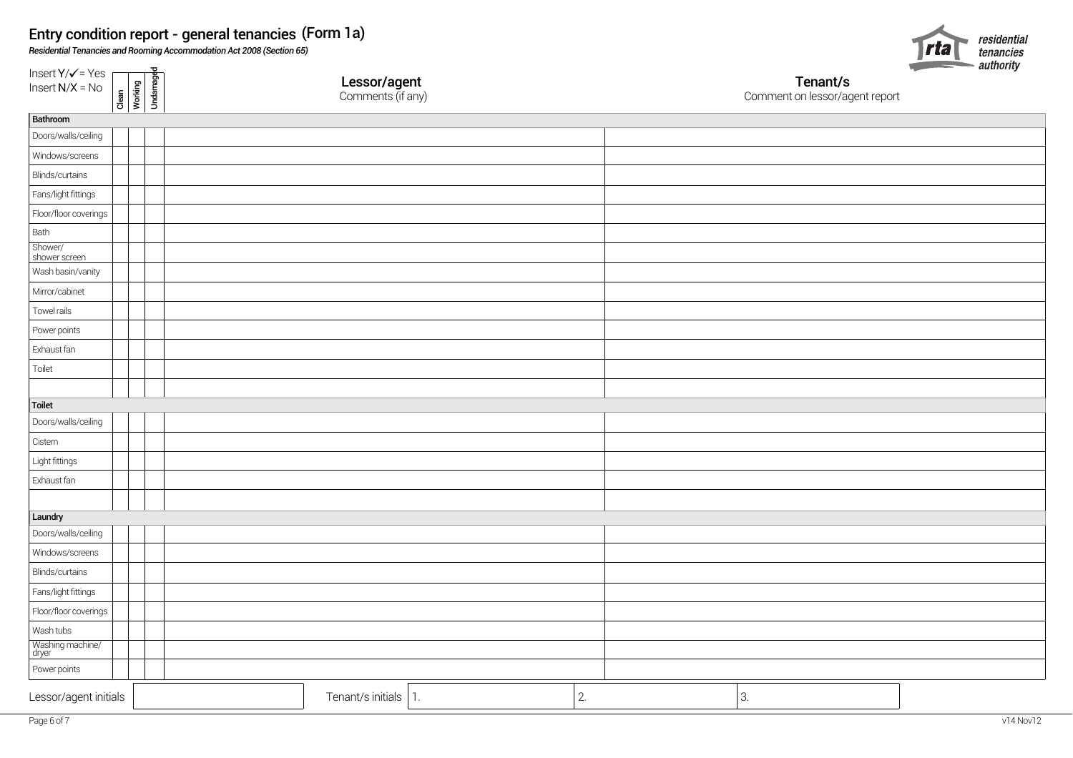*Residential Tenancies and Rooming Accommodation Act 2008 (Section 65)*



| Insert $Y/\sqrt{ }$ = Yes<br>Insert N/X = No<br>Clean<br>Working<br>Undamaged | <b>Lessor/agent</b><br>Comments (if any) |    | $\sim$<br>Tenant/s<br>Comment on lessor/agent report |  |
|-------------------------------------------------------------------------------|------------------------------------------|----|------------------------------------------------------|--|
| Bathroom                                                                      |                                          |    |                                                      |  |
| Doors/walls/ceiling                                                           |                                          |    |                                                      |  |
| Windows/screens                                                               |                                          |    |                                                      |  |
| Blinds/curtains                                                               |                                          |    |                                                      |  |
| Fans/light fittings                                                           |                                          |    |                                                      |  |
| Floor/floor coverings                                                         |                                          |    |                                                      |  |
| Bath                                                                          |                                          |    |                                                      |  |
| Shower/<br>shower screen                                                      |                                          |    |                                                      |  |
| Wash basin/vanity                                                             |                                          |    |                                                      |  |
| Mirror/cabinet                                                                |                                          |    |                                                      |  |
| Towel rails                                                                   |                                          |    |                                                      |  |
| Power points                                                                  |                                          |    |                                                      |  |
| Exhaust fan                                                                   |                                          |    |                                                      |  |
| Toilet                                                                        |                                          |    |                                                      |  |
|                                                                               |                                          |    |                                                      |  |
| Toilet                                                                        |                                          |    |                                                      |  |
| Doors/walls/ceiling                                                           |                                          |    |                                                      |  |
| Cistern                                                                       |                                          |    |                                                      |  |
| Light fittings                                                                |                                          |    |                                                      |  |
| Exhaust fan                                                                   |                                          |    |                                                      |  |
|                                                                               |                                          |    |                                                      |  |
| Laundry                                                                       |                                          |    |                                                      |  |
| Doors/walls/ceiling                                                           |                                          |    |                                                      |  |
| Windows/screens                                                               |                                          |    |                                                      |  |
| Blinds/curtains                                                               |                                          |    |                                                      |  |
| Fans/light fittings                                                           |                                          |    |                                                      |  |
| Floor/floor coverings                                                         |                                          |    |                                                      |  |
| Wash tubs                                                                     |                                          |    |                                                      |  |
| Washing machine/<br>dryer                                                     |                                          |    |                                                      |  |
| Power points                                                                  |                                          |    |                                                      |  |
| Lessor/agent initials                                                         | Tenant/s initials 1.                     | 2. | 3.                                                   |  |